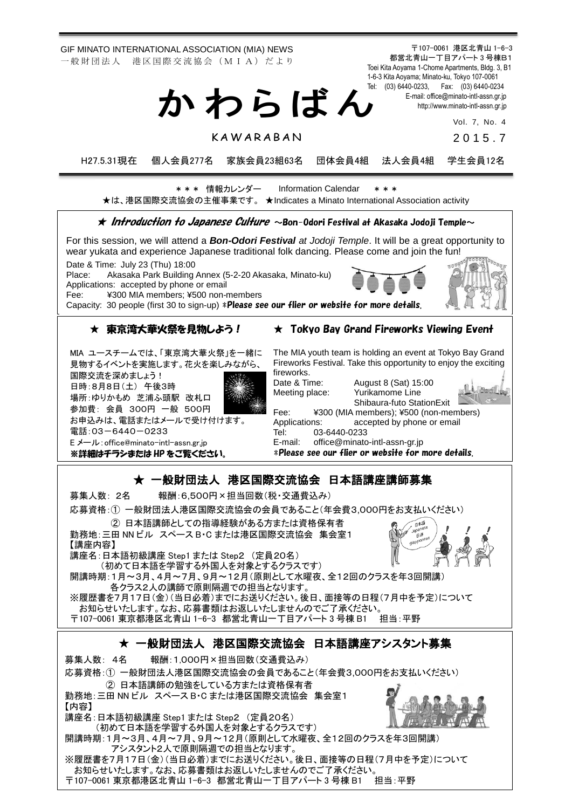GIF MINATO INTERNATIONAL ASSOCIATION (MIA) NEWS 一 般 財 団 法 人 港 区 国 際 交 流 協 会 (M I A) だ よ り

〒107-0061 港区北青山 1-6-3 都営北青山一丁目アパート 3 号棟B1 Toei Kita Aoyama 1-Chome Apartments, Bldg. 3, B1 1-6-3 Kita Aoyama; Minato-ku, Tokyo 107-0061 Tel: (03) 6440-0233, Fax: (03) 6440-0234 E-mail[: office@minato-intl-assn.gr.jp](mailto:office@minato-intl-assn.gr.jp) [http://www.minato-intl-assn.gr.jp](http://www.minato-intl-assn.gr.jp/) か わ ら ば ん

Vol. 7, No. 4

**KAWARABAN** 

2 0 1 5 . 7

H27.5.31現在 個人会員277名 家族会員23組63名 団体会員4組 法人会員4組 学生会員12名

\* \* \* 情報カレンダー Information Calendar \* \* \* ★は、港区国際交流協会の主催事業です。 ★Indicates a Minato International Association activity